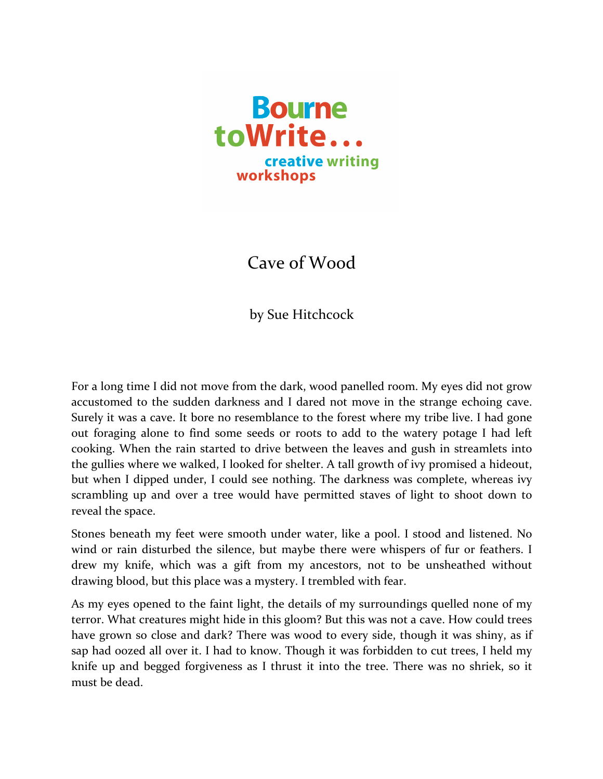

Cave of Wood

by Sue Hitchcock

For a long time I did not move from the dark, wood panelled room. My eyes did not grow accustomed to the sudden darkness and I dared not move in the strange echoing cave. Surely it was a cave. It bore no resemblance to the forest where my tribe live. I had gone out foraging alone to find some seeds or roots to add to the watery potage I had left cooking. When the rain started to drive between the leaves and gush in streamlets into the gullies where we walked, I looked for shelter. A tall growth of ivy promised a hideout, but when I dipped under, I could see nothing. The darkness was complete, whereas ivy scrambling up and over a tree would have permitted staves of light to shoot down to reveal the space.

Stones beneath my feet were smooth under water, like a pool. I stood and listened. No wind or rain disturbed the silence, but maybe there were whispers of fur or feathers. I drew my knife, which was a gift from my ancestors, not to be unsheathed without drawing blood, but this place was a mystery. I trembled with fear.

As my eyes opened to the faint light, the details of my surroundings quelled none of my terror. What creatures might hide in this gloom? But this was not a cave. How could trees have grown so close and dark? There was wood to every side, though it was shiny, as if sap had oozed all over it. I had to know. Though it was forbidden to cut trees, I held my knife up and begged forgiveness as I thrust it into the tree. There was no shriek, so it must be dead.